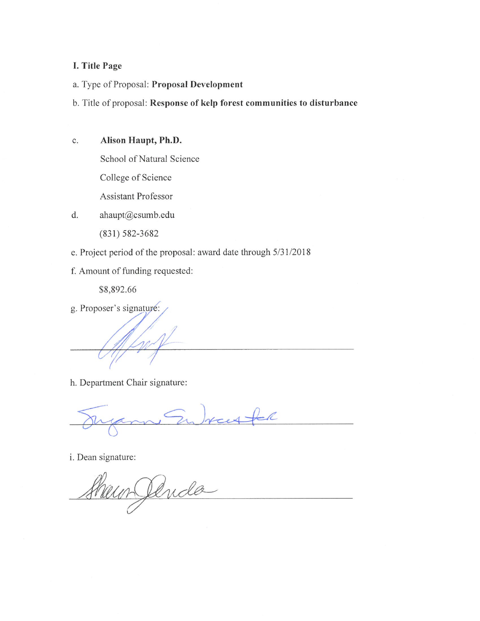# I. Title Page

- a. Type of Proposal: Proposal Development
- b. Title of proposal: Response of kelp forest communities to disturbance
- Alison Haupt, Ph.D. c.
	- School of Natural Science

College of Science

Assistant Professor

- ahaupt@csumb.edu d.
	- $(831) 582 3682$
- e. Project period of the proposal: award date through 5/31/2018
- f. Amount of funding requested:

\$8,892.66

g. Proposer's signature:

h. Department Chair signature:

 $=$ R

i. Dean signature:

Shawn Jenda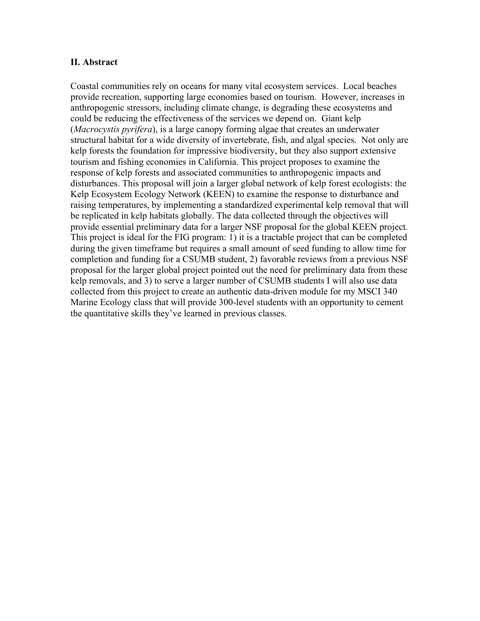## **II. Abstract**

Coastal communities rely on oceans for many vital ecosystem services. Local beaches provide recreation, supporting large economies based on tourism. However, increases in anthropogenic stressors, including climate change, is degrading these ecosystems and could be reducing the effectiveness of the services we depend on. Giant kelp (*Macrocystis pyrifera*), is a large canopy forming algae that creates an underwater structural habitat for a wide diversity of invertebrate, fish, and algal species. Not only are kelp forests the foundation for impressive biodiversity, but they also support extensive tourism and fishing economies in California. This project proposes to examine the response of kelp forests and associated communities to anthropogenic impacts and disturbances. This proposal will join a larger global network of kelp forest ecologists: the Kelp Ecosystem Ecology Network (KEEN) to examine the response to disturbance and raising temperatures, by implementing a standardized experimental kelp removal that will be replicated in kelp habitats globally. The data collected through the objectives will provide essential preliminary data for a larger NSF proposal for the global KEEN project. This project is ideal for the FIG program: 1) it is a tractable project that can be completed during the given timeframe but requires a small amount of seed funding to allow time for completion and funding for a CSUMB student, 2) favorable reviews from a previous NSF proposal for the larger global project pointed out the need for preliminary data from these kelp removals, and 3) to serve a larger number of CSUMB students I will also use data collected from this project to create an authentic data-driven module for my MSCI 340 Marine Ecology class that will provide 300-level students with an opportunity to cement the quantitative skills they've learned in previous classes.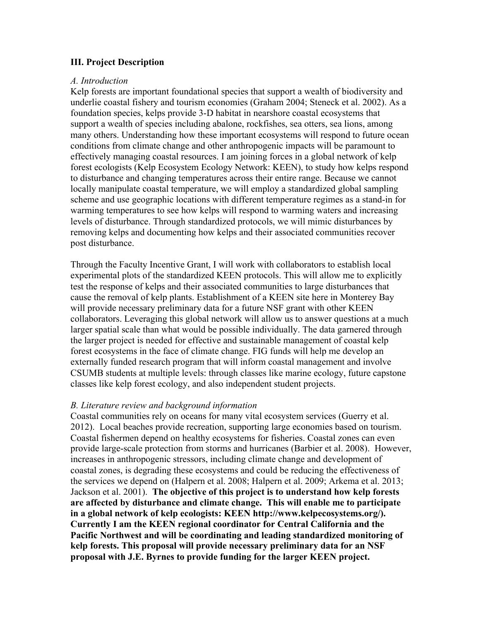## **III. Project Description**

## *A. Introduction*

Kelp forests are important foundational species that support a wealth of biodiversity and underlie coastal fishery and tourism economies (Graham 2004; Steneck et al. 2002). As a foundation species, kelps provide 3-D habitat in nearshore coastal ecosystems that support a wealth of species including abalone, rockfishes, sea otters, sea lions, among many others. Understanding how these important ecosystems will respond to future ocean conditions from climate change and other anthropogenic impacts will be paramount to effectively managing coastal resources. I am joining forces in a global network of kelp forest ecologists (Kelp Ecosystem Ecology Network: KEEN), to study how kelps respond to disturbance and changing temperatures across their entire range. Because we cannot locally manipulate coastal temperature, we will employ a standardized global sampling scheme and use geographic locations with different temperature regimes as a stand-in for warming temperatures to see how kelps will respond to warming waters and increasing levels of disturbance. Through standardized protocols, we will mimic disturbances by removing kelps and documenting how kelps and their associated communities recover post disturbance.

Through the Faculty Incentive Grant, I will work with collaborators to establish local experimental plots of the standardized KEEN protocols. This will allow me to explicitly test the response of kelps and their associated communities to large disturbances that cause the removal of kelp plants. Establishment of a KEEN site here in Monterey Bay will provide necessary preliminary data for a future NSF grant with other KEEN collaborators. Leveraging this global network will allow us to answer questions at a much larger spatial scale than what would be possible individually. The data garnered through the larger project is needed for effective and sustainable management of coastal kelp forest ecosystems in the face of climate change. FIG funds will help me develop an externally funded research program that will inform coastal management and involve CSUMB students at multiple levels: through classes like marine ecology, future capstone classes like kelp forest ecology, and also independent student projects.

## *B. Literature review and background information*

Coastal communities rely on oceans for many vital ecosystem services (Guerry et al. 2012). Local beaches provide recreation, supporting large economies based on tourism. Coastal fishermen depend on healthy ecosystems for fisheries. Coastal zones can even provide large-scale protection from storms and hurricanes (Barbier et al. 2008). However, increases in anthropogenic stressors, including climate change and development of coastal zones, is degrading these ecosystems and could be reducing the effectiveness of the services we depend on (Halpern et al. 2008; Halpern et al. 2009; Arkema et al. 2013; Jackson et al. 2001). **The objective of this project is to understand how kelp forests are affected by disturbance and climate change. This will enable me to participate in a global network of kelp ecologists: KEEN http://www.kelpecosystems.org/). Currently I am the KEEN regional coordinator for Central California and the Pacific Northwest and will be coordinating and leading standardized monitoring of kelp forests. This proposal will provide necessary preliminary data for an NSF proposal with J.E. Byrnes to provide funding for the larger KEEN project.**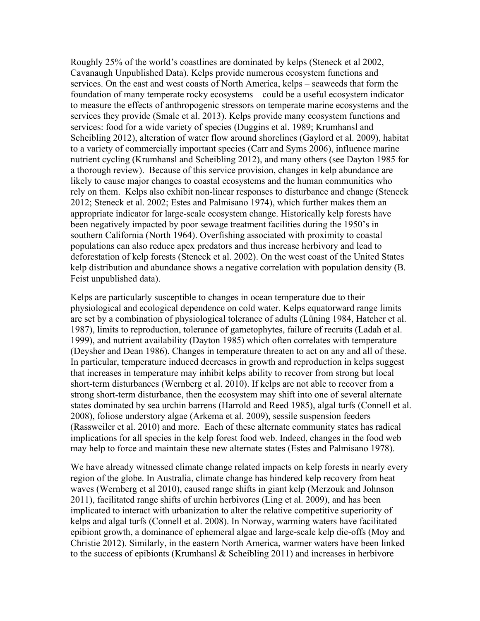Roughly 25% of the world's coastlines are dominated by kelps (Steneck et al 2002, Cavanaugh Unpublished Data). Kelps provide numerous ecosystem functions and services. On the east and west coasts of North America, kelps – seaweeds that form the foundation of many temperate rocky ecosystems – could be a useful ecosystem indicator to measure the effects of anthropogenic stressors on temperate marine ecosystems and the services they provide (Smale et al. 2013). Kelps provide many ecosystem functions and services: food for a wide variety of species (Duggins et al. 1989; Krumhansl and Scheibling 2012), alteration of water flow around shorelines (Gaylord et al. 2009), habitat to a variety of commercially important species (Carr and Syms 2006), influence marine nutrient cycling (Krumhansl and Scheibling 2012), and many others (see Dayton 1985 for a thorough review). Because of this service provision, changes in kelp abundance are likely to cause major changes to coastal ecosystems and the human communities who rely on them. Kelps also exhibit non-linear responses to disturbance and change (Steneck 2012; Steneck et al. 2002; Estes and Palmisano 1974), which further makes them an appropriate indicator for large-scale ecosystem change. Historically kelp forests have been negatively impacted by poor sewage treatment facilities during the 1950's in southern California (North 1964). Overfishing associated with proximity to coastal populations can also reduce apex predators and thus increase herbivory and lead to deforestation of kelp forests (Steneck et al. 2002). On the west coast of the United States kelp distribution and abundance shows a negative correlation with population density (B. Feist unpublished data).

Kelps are particularly susceptible to changes in ocean temperature due to their physiological and ecological dependence on cold water. Kelps equatorward range limits are set by a combination of physiological tolerance of adults (Lüning 1984, Hatcher et al. 1987), limits to reproduction, tolerance of gametophytes, failure of recruits (Ladah et al. 1999), and nutrient availability (Dayton 1985) which often correlates with temperature (Deysher and Dean 1986). Changes in temperature threaten to act on any and all of these. In particular, temperature induced decreases in growth and reproduction in kelps suggest that increases in temperature may inhibit kelps ability to recover from strong but local short-term disturbances (Wernberg et al. 2010). If kelps are not able to recover from a strong short-term disturbance, then the ecosystem may shift into one of several alternate states dominated by sea urchin barrens (Harrold and Reed 1985), algal turfs (Connell et al. 2008), foliose understory algae (Arkema et al. 2009), sessile suspension feeders (Rassweiler et al. 2010) and more. Each of these alternate community states has radical implications for all species in the kelp forest food web. Indeed, changes in the food web may help to force and maintain these new alternate states (Estes and Palmisano 1978).

We have already witnessed climate change related impacts on kelp forests in nearly every region of the globe. In Australia, climate change has hindered kelp recovery from heat waves (Wernberg et al 2010), caused range shifts in giant kelp (Merzouk and Johnson 2011), facilitated range shifts of urchin herbivores (Ling et al. 2009), and has been implicated to interact with urbanization to alter the relative competitive superiority of kelps and algal turfs (Connell et al. 2008). In Norway, warming waters have facilitated epibiont growth, a dominance of ephemeral algae and large-scale kelp die-offs (Moy and Christie 2012). Similarly, in the eastern North America, warmer waters have been linked to the success of epibionts (Krumhansl & Scheibling 2011) and increases in herbivore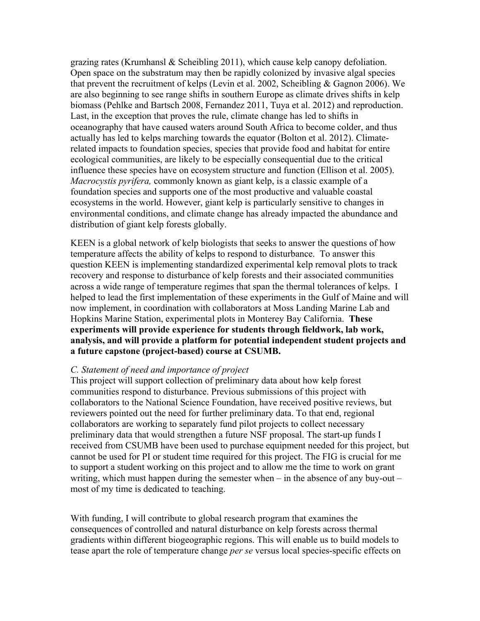grazing rates (Krumhansl & Scheibling 2011), which cause kelp canopy defoliation. Open space on the substratum may then be rapidly colonized by invasive algal species that prevent the recruitment of kelps (Levin et al. 2002, Scheibling & Gagnon 2006). We are also beginning to see range shifts in southern Europe as climate drives shifts in kelp biomass (Pehlke and Bartsch 2008, Fernandez 2011, Tuya et al. 2012) and reproduction. Last, in the exception that proves the rule, climate change has led to shifts in oceanography that have caused waters around South Africa to become colder, and thus actually has led to kelps marching towards the equator (Bolton et al. 2012). Climaterelated impacts to foundation species, species that provide food and habitat for entire ecological communities, are likely to be especially consequential due to the critical influence these species have on ecosystem structure and function (Ellison et al. 2005). *Macrocystis pyrifera,* commonly known as giant kelp, is a classic example of a foundation species and supports one of the most productive and valuable coastal ecosystems in the world. However, giant kelp is particularly sensitive to changes in environmental conditions, and climate change has already impacted the abundance and distribution of giant kelp forests globally.

KEEN is a global network of kelp biologists that seeks to answer the questions of how temperature affects the ability of kelps to respond to disturbance. To answer this question KEEN is implementing standardized experimental kelp removal plots to track recovery and response to disturbance of kelp forests and their associated communities across a wide range of temperature regimes that span the thermal tolerances of kelps. I helped to lead the first implementation of these experiments in the Gulf of Maine and will now implement, in coordination with collaborators at Moss Landing Marine Lab and Hopkins Marine Station, experimental plots in Monterey Bay California. **These experiments will provide experience for students through fieldwork, lab work, analysis, and will provide a platform for potential independent student projects and a future capstone (project-based) course at CSUMB.**

#### *C. Statement of need and importance of project*

This project will support collection of preliminary data about how kelp forest communities respond to disturbance. Previous submissions of this project with collaborators to the National Science Foundation, have received positive reviews, but reviewers pointed out the need for further preliminary data. To that end, regional collaborators are working to separately fund pilot projects to collect necessary preliminary data that would strengthen a future NSF proposal. The start-up funds I received from CSUMB have been used to purchase equipment needed for this project, but cannot be used for PI or student time required for this project. The FIG is crucial for me to support a student working on this project and to allow me the time to work on grant writing, which must happen during the semester when – in the absence of any buy-out – most of my time is dedicated to teaching.

With funding, I will contribute to global research program that examines the consequences of controlled and natural disturbance on kelp forests across thermal gradients within different biogeographic regions. This will enable us to build models to tease apart the role of temperature change *per se* versus local species-specific effects on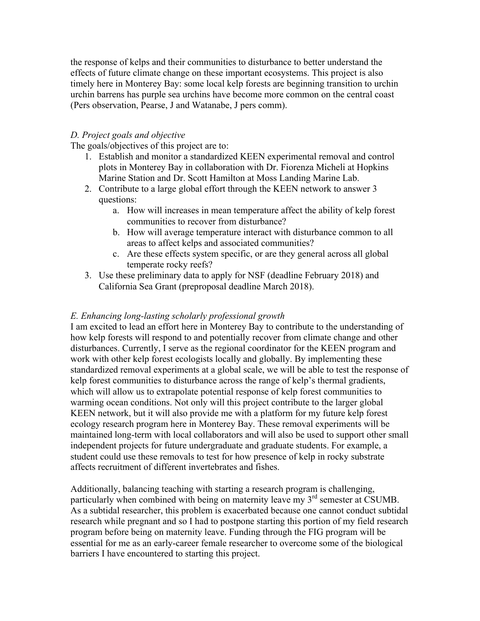the response of kelps and their communities to disturbance to better understand the effects of future climate change on these important ecosystems. This project is also timely here in Monterey Bay: some local kelp forests are beginning transition to urchin urchin barrens has purple sea urchins have become more common on the central coast (Pers observation, Pearse, J and Watanabe, J pers comm).

## *D. Project goals and objective*

The goals/objectives of this project are to:

- 1. Establish and monitor a standardized KEEN experimental removal and control plots in Monterey Bay in collaboration with Dr. Fiorenza Micheli at Hopkins Marine Station and Dr. Scott Hamilton at Moss Landing Marine Lab.
- 2. Contribute to a large global effort through the KEEN network to answer 3 questions:
	- a. How will increases in mean temperature affect the ability of kelp forest communities to recover from disturbance?
	- b. How will average temperature interact with disturbance common to all areas to affect kelps and associated communities?
	- c. Are these effects system specific, or are they general across all global temperate rocky reefs?
- 3. Use these preliminary data to apply for NSF (deadline February 2018) and California Sea Grant (preproposal deadline March 2018).

## *E. Enhancing long-lasting scholarly professional growth*

I am excited to lead an effort here in Monterey Bay to contribute to the understanding of how kelp forests will respond to and potentially recover from climate change and other disturbances. Currently, I serve as the regional coordinator for the KEEN program and work with other kelp forest ecologists locally and globally. By implementing these standardized removal experiments at a global scale, we will be able to test the response of kelp forest communities to disturbance across the range of kelp's thermal gradients, which will allow us to extrapolate potential response of kelp forest communities to warming ocean conditions. Not only will this project contribute to the larger global KEEN network, but it will also provide me with a platform for my future kelp forest ecology research program here in Monterey Bay. These removal experiments will be maintained long-term with local collaborators and will also be used to support other small independent projects for future undergraduate and graduate students. For example, a student could use these removals to test for how presence of kelp in rocky substrate affects recruitment of different invertebrates and fishes.

Additionally, balancing teaching with starting a research program is challenging, particularly when combined with being on maternity leave my 3<sup>rd</sup> semester at CSUMB. As a subtidal researcher, this problem is exacerbated because one cannot conduct subtidal research while pregnant and so I had to postpone starting this portion of my field research program before being on maternity leave. Funding through the FIG program will be essential for me as an early-career female researcher to overcome some of the biological barriers I have encountered to starting this project.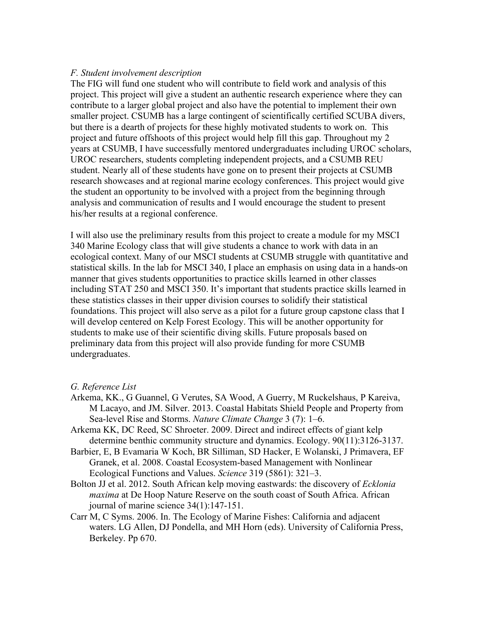#### *F. Student involvement description*

The FIG will fund one student who will contribute to field work and analysis of this project. This project will give a student an authentic research experience where they can contribute to a larger global project and also have the potential to implement their own smaller project. CSUMB has a large contingent of scientifically certified SCUBA divers, but there is a dearth of projects for these highly motivated students to work on. This project and future offshoots of this project would help fill this gap. Throughout my 2 years at CSUMB, I have successfully mentored undergraduates including UROC scholars, UROC researchers, students completing independent projects, and a CSUMB REU student. Nearly all of these students have gone on to present their projects at CSUMB research showcases and at regional marine ecology conferences. This project would give the student an opportunity to be involved with a project from the beginning through analysis and communication of results and I would encourage the student to present his/her results at a regional conference.

I will also use the preliminary results from this project to create a module for my MSCI 340 Marine Ecology class that will give students a chance to work with data in an ecological context. Many of our MSCI students at CSUMB struggle with quantitative and statistical skills. In the lab for MSCI 340, I place an emphasis on using data in a hands-on manner that gives students opportunities to practice skills learned in other classes including STAT 250 and MSCI 350. It's important that students practice skills learned in these statistics classes in their upper division courses to solidify their statistical foundations. This project will also serve as a pilot for a future group capstone class that I will develop centered on Kelp Forest Ecology. This will be another opportunity for students to make use of their scientific diving skills. Future proposals based on preliminary data from this project will also provide funding for more CSUMB undergraduates.

#### *G. Reference List*

- Arkema, KK., G Guannel, G Verutes, SA Wood, A Guerry, M Ruckelshaus, P Kareiva, M Lacayo, and JM. Silver. 2013. Coastal Habitats Shield People and Property from Sea-level Rise and Storms. *Nature Climate Change* 3 (7): 1–6.
- Arkema KK, DC Reed, SC Shroeter. 2009. Direct and indirect effects of giant kelp determine benthic community structure and dynamics. Ecology. 90(11):3126-3137.
- Barbier, E, B Evamaria W Koch, BR Silliman, SD Hacker, E Wolanski, J Primavera, EF Granek, et al. 2008. Coastal Ecosystem-based Management with Nonlinear Ecological Functions and Values. *Science* 319 (5861): 321–3.
- Bolton JJ et al. 2012. South African kelp moving eastwards: the discovery of *Ecklonia maxima* at De Hoop Nature Reserve on the south coast of South Africa. African journal of marine science 34(1):147-151.
- Carr M, C Syms. 2006. In. The Ecology of Marine Fishes: California and adjacent waters. LG Allen, DJ Pondella, and MH Horn (eds). University of California Press, Berkeley. Pp 670.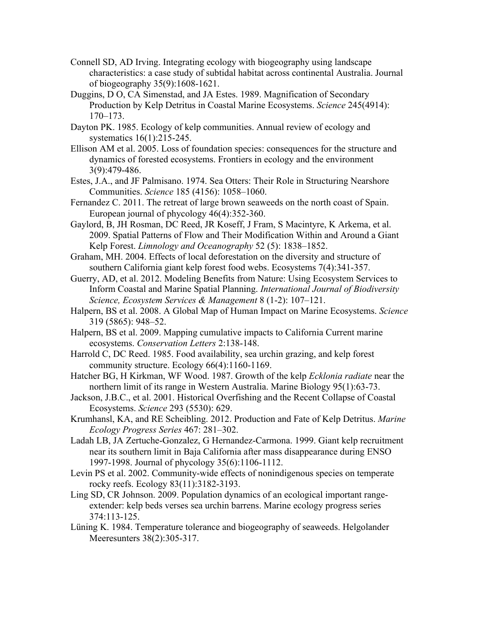- Connell SD, AD Irving. Integrating ecology with biogeography using landscape characteristics: a case study of subtidal habitat across continental Australia. Journal of biogeography 35(9):1608-1621.
- Duggins, D O, CA Simenstad, and JA Estes. 1989. Magnification of Secondary Production by Kelp Detritus in Coastal Marine Ecosystems. *Science* 245(4914): 170–173.
- Dayton PK. 1985. Ecology of kelp communities. Annual review of ecology and systematics 16(1):215-245.
- Ellison AM et al. 2005. Loss of foundation species: consequences for the structure and dynamics of forested ecosystems. Frontiers in ecology and the environment 3(9):479-486.
- Estes, J.A., and JF Palmisano. 1974. Sea Otters: Their Role in Structuring Nearshore Communities. *Science* 185 (4156): 1058–1060.
- Fernandez C. 2011. The retreat of large brown seaweeds on the north coast of Spain. European journal of phycology 46(4):352-360.
- Gaylord, B, JH Rosman, DC Reed, JR Koseff, J Fram, S Macintyre, K Arkema, et al. 2009. Spatial Patterns of Flow and Their Modification Within and Around a Giant Kelp Forest. *Limnology and Oceanography* 52 (5): 1838–1852.
- Graham, MH. 2004. Effects of local deforestation on the diversity and structure of southern California giant kelp forest food webs. Ecosystems 7(4):341-357.
- Guerry, AD, et al. 2012. Modeling Benefits from Nature: Using Ecosystem Services to Inform Coastal and Marine Spatial Planning. *International Journal of Biodiversity Science, Ecosystem Services & Management* 8 (1-2): 107–121.
- Halpern, BS et al. 2008. A Global Map of Human Impact on Marine Ecosystems. *Science*  319 (5865): 948–52.
- Halpern, BS et al. 2009. Mapping cumulative impacts to California Current marine ecosystems. *Conservation Letters* 2:138-148.
- Harrold C, DC Reed. 1985. Food availability, sea urchin grazing, and kelp forest community structure. Ecology 66(4):1160-1169.
- Hatcher BG, H Kirkman, WF Wood. 1987. Growth of the kelp *Ecklonia radiate* near the northern limit of its range in Western Australia. Marine Biology 95(1):63-73.
- Jackson, J.B.C., et al. 2001. Historical Overfishing and the Recent Collapse of Coastal Ecosystems. *Science* 293 (5530): 629.
- Krumhansl, KA, and RE Scheibling. 2012. Production and Fate of Kelp Detritus. *Marine Ecology Progress Series* 467: 281–302.
- Ladah LB, JA Zertuche-Gonzalez, G Hernandez-Carmona. 1999. Giant kelp recruitment near its southern limit in Baja California after mass disappearance during ENSO 1997-1998. Journal of phycology 35(6):1106-1112.
- Levin PS et al. 2002. Community-wide effects of nonindigenous species on temperate rocky reefs. Ecology 83(11):3182-3193.
- Ling SD, CR Johnson. 2009. Population dynamics of an ecological important rangeextender: kelp beds verses sea urchin barrens. Marine ecology progress series 374:113-125.
- Lüning K. 1984. Temperature tolerance and biogeography of seaweeds. Helgolander Meeresunters 38(2):305-317.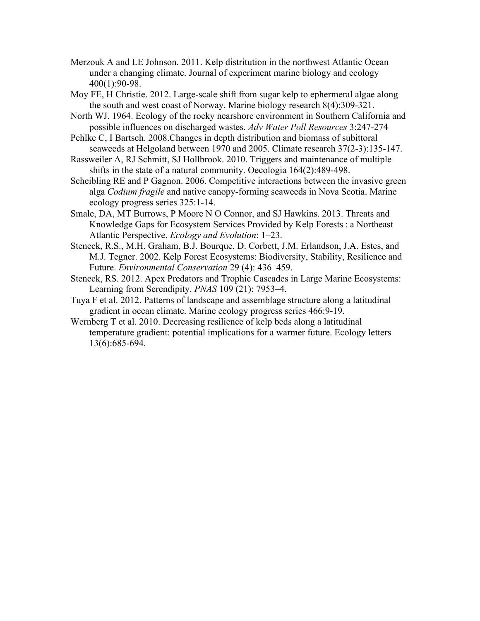- Merzouk A and LE Johnson. 2011. Kelp distritution in the northwest Atlantic Ocean under a changing climate. Journal of experiment marine biology and ecology 400(1):90-98.
- Moy FE, H Christie. 2012. Large-scale shift from sugar kelp to ephermeral algae along the south and west coast of Norway. Marine biology research 8(4):309-321.
- North WJ. 1964. Ecology of the rocky nearshore environment in Southern California and possible influences on discharged wastes. *Adv Water Poll Resources* 3:247-274
- Pehlke C, I Bartsch. 2008.Changes in depth distribution and biomass of subittoral seaweeds at Helgoland between 1970 and 2005. Climate research 37(2-3):135-147.
- Rassweiler A, RJ Schmitt, SJ Hollbrook. 2010. Triggers and maintenance of multiple shifts in the state of a natural community. Oecologia 164(2):489-498.
- Scheibling RE and P Gagnon. 2006. Competitive interactions between the invasive green alga *Codium fragile* and native canopy-forming seaweeds in Nova Scotia. Marine ecology progress series 325:1-14.
- Smale, DA, MT Burrows, P Moore N O Connor, and SJ Hawkins. 2013. Threats and Knowledge Gaps for Ecosystem Services Provided by Kelp Forests : a Northeast Atlantic Perspective. *Ecology and Evolution*: 1–23.
- Steneck, R.S., M.H. Graham, B.J. Bourque, D. Corbett, J.M. Erlandson, J.A. Estes, and M.J. Tegner. 2002. Kelp Forest Ecosystems: Biodiversity, Stability, Resilience and Future. *Environmental Conservation* 29 (4): 436–459.
- Steneck, RS. 2012. Apex Predators and Trophic Cascades in Large Marine Ecosystems: Learning from Serendipity. *PNAS* 109 (21): 7953–4.
- Tuya F et al. 2012. Patterns of landscape and assemblage structure along a latitudinal gradient in ocean climate. Marine ecology progress series 466:9-19.
- Wernberg T et al. 2010. Decreasing resilience of kelp beds along a latitudinal temperature gradient: potential implications for a warmer future. Ecology letters 13(6):685-694.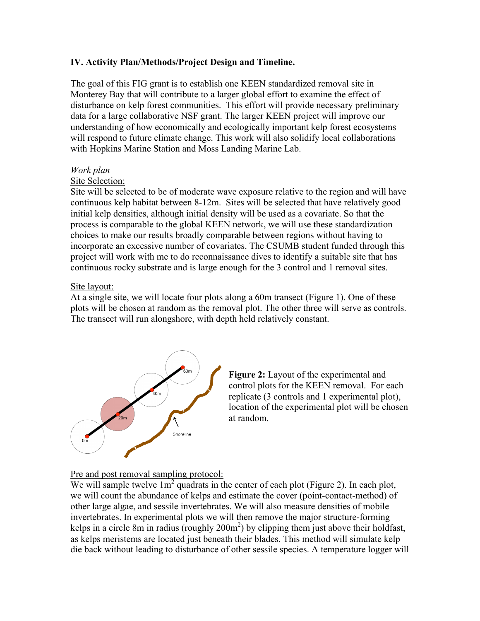# **IV. Activity Plan/Methods/Project Design and Timeline.**

The goal of this FIG grant is to establish one KEEN standardized removal site in Monterey Bay that will contribute to a larger global effort to examine the effect of disturbance on kelp forest communities. This effort will provide necessary preliminary data for a large collaborative NSF grant. The larger KEEN project will improve our understanding of how economically and ecologically important kelp forest ecosystems will respond to future climate change. This work will also solidify local collaborations with Hopkins Marine Station and Moss Landing Marine Lab.

#### *Work plan*

## Site Selection:

Site will be selected to be of moderate wave exposure relative to the region and will have continuous kelp habitat between 8-12m. Sites will be selected that have relatively good initial kelp densities, although initial density will be used as a covariate. So that the process is comparable to the global KEEN network, we will use these standardization choices to make our results broadly comparable between regions without having to incorporate an excessive number of covariates. The CSUMB student funded through this project will work with me to do reconnaissance dives to identify a suitable site that has continuous rocky substrate and is large enough for the 3 control and 1 removal sites.

#### Site layout:

At a single site, we will locate four plots along a 60m transect (Figure 1). One of these plots will be chosen at random as the removal plot. The other three will serve as controls. The transect will run alongshore, with depth held relatively constant.





Pre and post removal sampling protocol:

We will sample twelve  $1m^2$  quadrats in the center of each plot (Figure 2). In each plot, we will count the abundance of kelps and estimate the cover (point-contact-method) of other large algae, and sessile invertebrates. We will also measure densities of mobile invertebrates. In experimental plots we will then remove the major structure-forming kelps in a circle 8m in radius (roughly  $200m^2$ ) by clipping them just above their holdfast, as kelps meristems are located just beneath their blades. This method will simulate kelp die back without leading to disturbance of other sessile species. A temperature logger will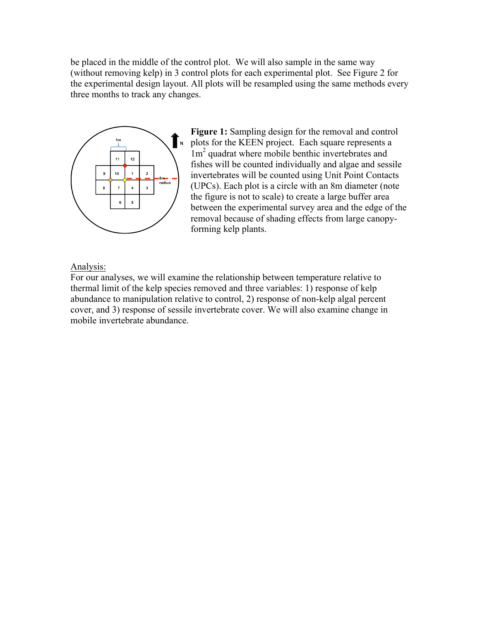be placed in the middle of the control plot. We will also sample in the same way (without removing kelp) in 3 control plots for each experimental plot. See Figure 2 for the experimental design layout. All plots will be resampled using the same methods every three months to track any changes.



Figure 1: Sampling design for the removal and control  $\sum_{n=1}^{\infty}$  plots for the KEEN project. Each square represents a 1m<sup>2</sup> quadrat where mobile benthic invertebrates and fishes will be counted individually and algae and sessile invertebrates will be counted using Unit Point Contacts (UPCs). Each plot is a circle with an 8m diameter (note the figure is not to scale) to create a large buffer area between the experimental survey area and the edge of the removal because of shading effects from large canopyforming kelp plants.

## Analysis:

For our analyses, we will examine the relationship between temperature relative to thermal limit of the kelp species removed and three variables: 1) response of kelp abundance to manipulation relative to control, 2) response of non-kelp algal percent cover, and 3) response of sessile invertebrate cover. We will also examine change in mobile invertebrate abundance.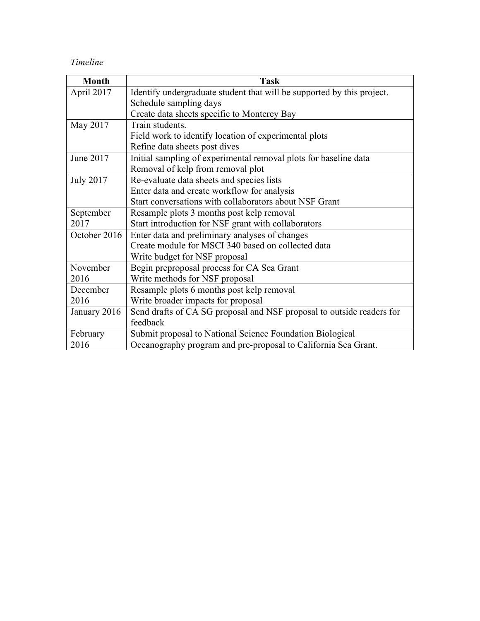# *Timeline*

| <b>Month</b>     | <b>Task</b>                                                            |
|------------------|------------------------------------------------------------------------|
| April 2017       | Identify undergraduate student that will be supported by this project. |
|                  | Schedule sampling days                                                 |
|                  | Create data sheets specific to Monterey Bay                            |
| May 2017         | Train students.                                                        |
|                  | Field work to identify location of experimental plots                  |
|                  | Refine data sheets post dives                                          |
| June 2017        | Initial sampling of experimental removal plots for baseline data       |
|                  | Removal of kelp from removal plot                                      |
| <b>July 2017</b> | Re-evaluate data sheets and species lists                              |
|                  | Enter data and create workflow for analysis                            |
|                  | Start conversations with collaborators about NSF Grant                 |
| September        | Resample plots 3 months post kelp removal                              |
| 2017             | Start introduction for NSF grant with collaborators                    |
| October 2016     | Enter data and preliminary analyses of changes                         |
|                  | Create module for MSCI 340 based on collected data                     |
|                  | Write budget for NSF proposal                                          |
| November         | Begin preproposal process for CA Sea Grant                             |
| 2016             | Write methods for NSF proposal                                         |
| December         | Resample plots 6 months post kelp removal                              |
| 2016             | Write broader impacts for proposal                                     |
| January 2016     | Send drafts of CA SG proposal and NSF proposal to outside readers for  |
|                  | feedback                                                               |
| February         | Submit proposal to National Science Foundation Biological              |
| 2016             | Oceanography program and pre-proposal to California Sea Grant.         |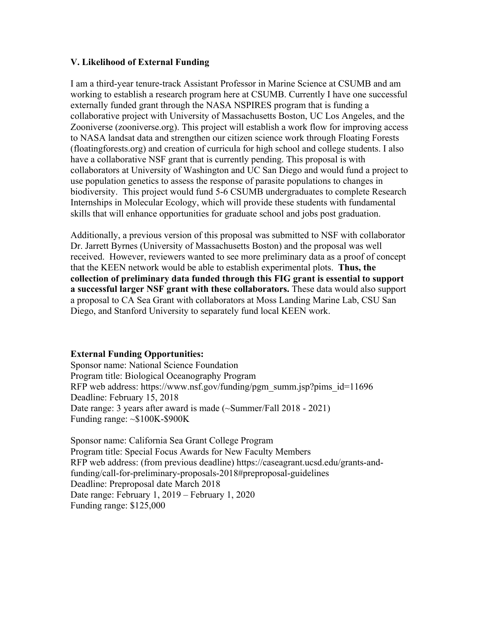# **V. Likelihood of External Funding**

I am a third-year tenure-track Assistant Professor in Marine Science at CSUMB and am working to establish a research program here at CSUMB. Currently I have one successful externally funded grant through the NASA NSPIRES program that is funding a collaborative project with University of Massachusetts Boston, UC Los Angeles, and the Zooniverse (zooniverse.org). This project will establish a work flow for improving access to NASA landsat data and strengthen our citizen science work through Floating Forests (floatingforests.org) and creation of curricula for high school and college students. I also have a collaborative NSF grant that is currently pending. This proposal is with collaborators at University of Washington and UC San Diego and would fund a project to use population genetics to assess the response of parasite populations to changes in biodiversity. This project would fund 5-6 CSUMB undergraduates to complete Research Internships in Molecular Ecology, which will provide these students with fundamental skills that will enhance opportunities for graduate school and jobs post graduation.

Additionally, a previous version of this proposal was submitted to NSF with collaborator Dr. Jarrett Byrnes (University of Massachusetts Boston) and the proposal was well received. However, reviewers wanted to see more preliminary data as a proof of concept that the KEEN network would be able to establish experimental plots. **Thus, the collection of preliminary data funded through this FIG grant is essential to support a successful larger NSF grant with these collaborators.** These data would also support a proposal to CA Sea Grant with collaborators at Moss Landing Marine Lab, CSU San Diego, and Stanford University to separately fund local KEEN work.

# **External Funding Opportunities:**

Sponsor name: National Science Foundation Program title: Biological Oceanography Program RFP web address: https://www.nsf.gov/funding/pgm\_summ.jsp?pims\_id=11696 Deadline: February 15, 2018 Date range: 3 years after award is made (~Summer/Fall 2018 - 2021) Funding range: ~\$100K-\$900K

Sponsor name: California Sea Grant College Program Program title: Special Focus Awards for New Faculty Members RFP web address: (from previous deadline) https://caseagrant.ucsd.edu/grants-andfunding/call-for-preliminary-proposals-2018#preproposal-guidelines Deadline: Preproposal date March 2018 Date range: February 1, 2019 – February 1, 2020 Funding range: \$125,000